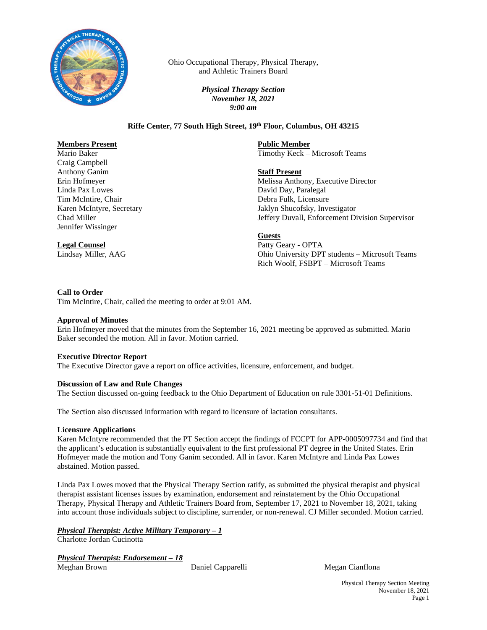

Ohio Occupational Therapy, Physical Therapy, and Athletic Trainers Board

> *Physical Therapy Section November 18, 2021 9:00 am*

## **Riffe Center, 77 South High Street, 19th Floor, Columbus, OH 43215**

## **Members Present**

Mario Baker Craig Campbell Anthony Ganim Erin Hofmeyer Linda Pax Lowes Tim McIntire, Chair Karen McIntyre, Secretary Chad Miller Jennifer Wissinger

# **Legal Counsel**

Lindsay Miller, AAG

**Public Member** Timothy Keck – Microsoft Teams

**Staff Present**

Melissa Anthony, Executive Director David Day, Paralegal Debra Fulk, Licensure Jaklyn Shucofsky, Investigator Jeffery Duvall, Enforcement Division Supervisor

**Guests**

Patty Geary - OPTA Ohio University DPT students – Microsoft Teams Rich Woolf, FSBPT – Microsoft Teams

### **Call to Order**

Tim McIntire, Chair, called the meeting to order at 9:01 AM.

#### **Approval of Minutes**

Erin Hofmeyer moved that the minutes from the September 16, 2021 meeting be approved as submitted. Mario Baker seconded the motion. All in favor. Motion carried.

## **Executive Director Report**

The Executive Director gave a report on office activities, licensure, enforcement, and budget.

## **Discussion of Law and Rule Changes**

The Section discussed on-going feedback to the Ohio Department of Education on rule 3301-51-01 Definitions.

The Section also discussed information with regard to licensure of lactation consultants.

## **Licensure Applications**

Karen McIntyre recommended that the PT Section accept the findings of FCCPT for APP-0005097734 and find that the applicant's education is substantially equivalent to the first professional PT degree in the United States. Erin Hofmeyer made the motion and Tony Ganim seconded. All in favor. Karen McIntyre and Linda Pax Lowes abstained. Motion passed.

Linda Pax Lowes moved that the Physical Therapy Section ratify, as submitted the physical therapist and physical therapist assistant licenses issues by examination, endorsement and reinstatement by the Ohio Occupational Therapy, Physical Therapy and Athletic Trainers Board from, September 17, 2021 to November 18, 2021, taking into account those individuals subject to discipline, surrender, or non-renewal. CJ Miller seconded. Motion carried.

## *Physical Therapist: Active Military Temporary – 1*

Charlotte Jordan Cucinotta

## *Physical Therapist: Endorsement – 18*

Meghan Brown Daniel Capparelli Megan Cianflona

Physical Therapy Section Meeting November 18, 2021 Page 1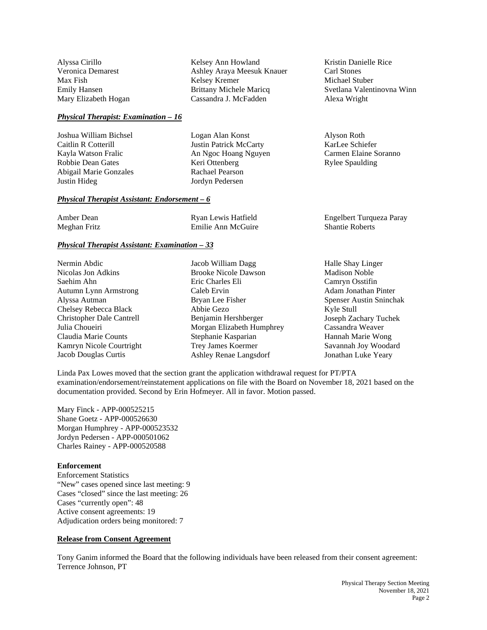Alyssa Cirillo Veronica Demarest Max Fish Emily Hansen Mary Elizabeth Hogan

#### *Physical Therapist: Examination – 16*

Joshua William Bichsel Caitlin R Cotterill Kayla Watson Fralic Robbie Dean Gates Abigail Marie Gonzales Justin Hideg

#### *Physical Therapist Assistant: Endorsement – 6*

| Amber Dean   | Ryan Lewis Hatfield | Engelbert Turqueza Paray |
|--------------|---------------------|--------------------------|
| Meghan Fritz | Emilie Ann McGuire  | <b>Shantie Roberts</b>   |

Kelsey Ann Howland

Brittany Michele Maricq Cassandra J. McFadden

Kelsey Kremer

Logan Alan Konst Justin Patrick McCarty An Ngoc Hoang Nguyen

Keri Ottenberg Rachael Pearson Jordyn Pedersen

Ashley Araya Meesuk Knauer

#### *Physical Therapist Assistant: Examination – 33*

Nermin Abdic Nicolas Jon Adkins Saehim Ahn Autumn Lynn Armstrong Alyssa Autman Chelsey Rebecca Black Christopher Dale Cantrell Julia Choueiri Claudia Marie Counts Kamryn Nicole Courtright Jacob Douglas Curtis

Jacob William Dagg Brooke Nicole Dawson Eric Charles Eli Caleb Ervin Bryan Lee Fisher Abbie Gezo Benjamin Hershberger Morgan Elizabeth Humphrey Stephanie Kasparian Trey James Koermer Ashley Renae Langsdorf

Halle Shay Linger Madison Noble Camryn Osstifin Adam Jonathan Pinter Spenser Austin Sninchak Kyle Stull Joseph Zachary Tuchek Cassandra Weaver Hannah Marie Wong Savannah Joy Woodard Jonathan Luke Yeary

Linda Pax Lowes moved that the section grant the application withdrawal request for PT/PTA examination/endorsement/reinstatement applications on file with the Board on November 18, 2021 based on the documentation provided. Second by Erin Hofmeyer. All in favor. Motion passed.

Mary Finck - APP-000525215 Shane Goetz - APP-000526630 Morgan Humphrey - APP-000523532 Jordyn Pedersen - APP-000501062 Charles Rainey - APP-000520588

#### **Enforcement**

Enforcement Statistics "New" cases opened since last meeting: 9 Cases "closed" since the last meeting: 26 Cases "currently open": 48 Active consent agreements: 19 Adjudication orders being monitored: 7

## **Release from Consent Agreement**

Tony Ganim informed the Board that the following individuals have been released from their consent agreement: Terrence Johnson, PT

Kristin Danielle Rice Carl Stones Michael Stuber Svetlana Valentinovna Winn Alexa Wright

Alyson Roth KarLee Schiefer Carmen Elaine Soranno Rylee Spaulding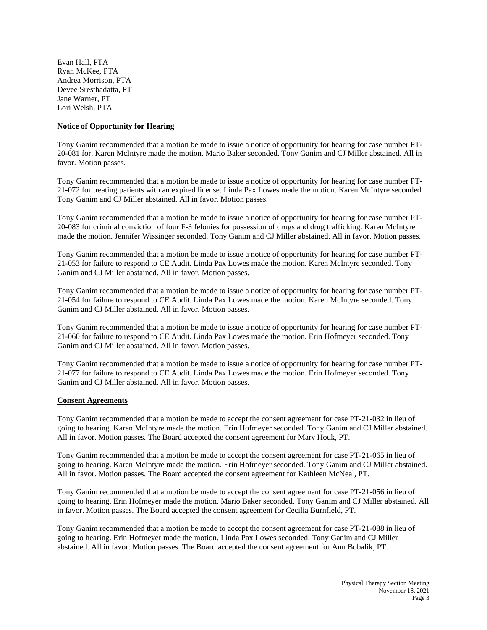Evan Hall, PTA Ryan McKee, PTA Andrea Morrison, PTA Devee Sresthadatta, PT Jane Warner, PT Lori Welsh, PTA

## **Notice of Opportunity for Hearing**

Tony Ganim recommended that a motion be made to issue a notice of opportunity for hearing for case number PT-20-081 for. Karen McIntyre made the motion. Mario Baker seconded. Tony Ganim and CJ Miller abstained. All in favor. Motion passes.

Tony Ganim recommended that a motion be made to issue a notice of opportunity for hearing for case number PT-21-072 for treating patients with an expired license. Linda Pax Lowes made the motion. Karen McIntyre seconded. Tony Ganim and CJ Miller abstained. All in favor. Motion passes.

Tony Ganim recommended that a motion be made to issue a notice of opportunity for hearing for case number PT-20-083 for criminal conviction of four F-3 felonies for possession of drugs and drug trafficking. Karen McIntyre made the motion. Jennifer Wissinger seconded. Tony Ganim and CJ Miller abstained. All in favor. Motion passes.

Tony Ganim recommended that a motion be made to issue a notice of opportunity for hearing for case number PT-21-053 for failure to respond to CE Audit. Linda Pax Lowes made the motion. Karen McIntyre seconded. Tony Ganim and CJ Miller abstained. All in favor. Motion passes.

Tony Ganim recommended that a motion be made to issue a notice of opportunity for hearing for case number PT-21-054 for failure to respond to CE Audit. Linda Pax Lowes made the motion. Karen McIntyre seconded. Tony Ganim and CJ Miller abstained. All in favor. Motion passes.

Tony Ganim recommended that a motion be made to issue a notice of opportunity for hearing for case number PT-21-060 for failure to respond to CE Audit. Linda Pax Lowes made the motion. Erin Hofmeyer seconded. Tony Ganim and CJ Miller abstained. All in favor. Motion passes.

Tony Ganim recommended that a motion be made to issue a notice of opportunity for hearing for case number PT-21-077 for failure to respond to CE Audit. Linda Pax Lowes made the motion. Erin Hofmeyer seconded. Tony Ganim and CJ Miller abstained. All in favor. Motion passes.

#### **Consent Agreements**

Tony Ganim recommended that a motion be made to accept the consent agreement for case PT-21-032 in lieu of going to hearing. Karen McIntyre made the motion. Erin Hofmeyer seconded. Tony Ganim and CJ Miller abstained. All in favor. Motion passes. The Board accepted the consent agreement for Mary Houk, PT.

Tony Ganim recommended that a motion be made to accept the consent agreement for case PT-21-065 in lieu of going to hearing. Karen McIntyre made the motion. Erin Hofmeyer seconded. Tony Ganim and CJ Miller abstained. All in favor. Motion passes. The Board accepted the consent agreement for Kathleen McNeal, PT.

Tony Ganim recommended that a motion be made to accept the consent agreement for case PT-21-056 in lieu of going to hearing. Erin Hofmeyer made the motion. Mario Baker seconded. Tony Ganim and CJ Miller abstained. All in favor. Motion passes. The Board accepted the consent agreement for Cecilia Burnfield, PT.

Tony Ganim recommended that a motion be made to accept the consent agreement for case PT-21-088 in lieu of going to hearing. Erin Hofmeyer made the motion. Linda Pax Lowes seconded. Tony Ganim and CJ Miller abstained. All in favor. Motion passes. The Board accepted the consent agreement for Ann Bobalik, PT.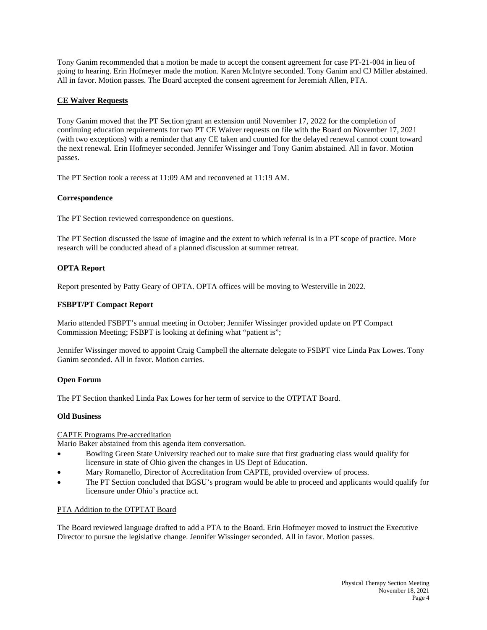Tony Ganim recommended that a motion be made to accept the consent agreement for case PT-21-004 in lieu of going to hearing. Erin Hofmeyer made the motion. Karen McIntyre seconded. Tony Ganim and CJ Miller abstained. All in favor. Motion passes. The Board accepted the consent agreement for Jeremiah Allen, PTA.

## **CE Waiver Requests**

Tony Ganim moved that the PT Section grant an extension until November 17, 2022 for the completion of continuing education requirements for two PT CE Waiver requests on file with the Board on November 17, 2021 (with two exceptions) with a reminder that any CE taken and counted for the delayed renewal cannot count toward the next renewal. Erin Hofmeyer seconded. Jennifer Wissinger and Tony Ganim abstained. All in favor. Motion passes.

The PT Section took a recess at 11:09 AM and reconvened at 11:19 AM.

### **Correspondence**

The PT Section reviewed correspondence on questions.

The PT Section discussed the issue of imagine and the extent to which referral is in a PT scope of practice. More research will be conducted ahead of a planned discussion at summer retreat.

### **OPTA Report**

Report presented by Patty Geary of OPTA. OPTA offices will be moving to Westerville in 2022.

### **FSBPT/PT Compact Report**

Mario attended FSBPT's annual meeting in October; Jennifer Wissinger provided update on PT Compact Commission Meeting; FSBPT is looking at defining what "patient is";

Jennifer Wissinger moved to appoint Craig Campbell the alternate delegate to FSBPT vice Linda Pax Lowes. Tony Ganim seconded. All in favor. Motion carries.

#### **Open Forum**

The PT Section thanked Linda Pax Lowes for her term of service to the OTPTAT Board.

#### **Old Business**

## CAPTE Programs Pre-accreditation

Mario Baker abstained from this agenda item conversation.

- Bowling Green State University reached out to make sure that first graduating class would qualify for licensure in state of Ohio given the changes in US Dept of Education.
- Mary Romanello, Director of Accreditation from CAPTE, provided overview of process.
- The PT Section concluded that BGSU's program would be able to proceed and applicants would qualify for licensure under Ohio's practice act.

#### PTA Addition to the OTPTAT Board

The Board reviewed language drafted to add a PTA to the Board. Erin Hofmeyer moved to instruct the Executive Director to pursue the legislative change. Jennifer Wissinger seconded. All in favor. Motion passes.